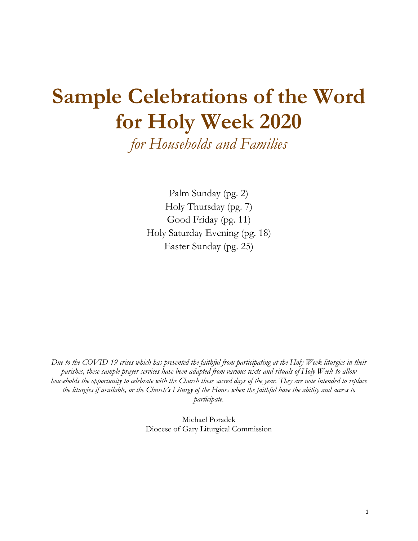# **Sample Celebrations of the Word for Holy Week 2020**

*for Households and Families*

Palm Sunday (pg. 2) Holy Thursday (pg. 7) Good Friday (pg. 11) Holy Saturday Evening (pg. 18) Easter Sunday (pg. 25)

*Due to the COVID-19 crises which has prevented the faithful from participating at the Holy Week liturgies in their parishes, these sample prayer services have been adapted from various texts and rituals of Holy Week to allow households the opportunity to celebrate with the Church these sacred days of the year. They are note intended to replace the liturgies if available, or the Church's Liturgy of the Hours when the faithful have the ability and access to participate.* 

> Michael Poradek Diocese of Gary Liturgical Commission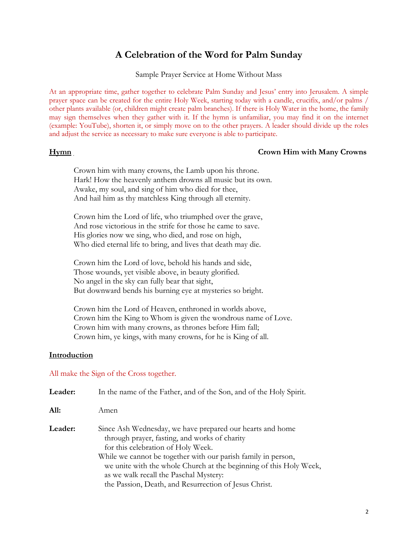# **A Celebration of the Word for Palm Sunday**

Sample Prayer Service at Home Without Mass

At an appropriate time, gather together to celebrate Palm Sunday and Jesus' entry into Jerusalem. A simple prayer space can be created for the entire Holy Week, starting today with a candle, crucifix, and/or palms / other plants available (or, children might create palm branches). If there is Holy Water in the home, the family may sign themselves when they gather with it. If the hymn is unfamiliar, you may find it on the internet (example: YouTube), shorten it, or simply move on to the other prayers. A leader should divide up the roles and adjust the service as necessary to make sure everyone is able to participate.

### **Hymn Crown Him with Many Crowns**

Crown him with many crowns, the Lamb upon his throne. Hark! How the heavenly anthem drowns all music but its own. Awake, my soul, and sing of him who died for thee, And hail him as thy matchless King through all eternity.

Crown him the Lord of life, who triumphed over the grave, And rose victorious in the strife for those he came to save. His glories now we sing, who died, and rose on high, Who died eternal life to bring, and lives that death may die.

Crown him the Lord of love, behold his hands and side, Those wounds, yet visible above, in beauty glorified. No angel in the sky can fully bear that sight, But downward bends his burning eye at mysteries so bright.

Crown him the Lord of Heaven, enthroned in worlds above, Crown him the King to Whom is given the wondrous name of Love. Crown him with many crowns, as thrones before Him fall; Crown him, ye kings, with many crowns, for he is King of all.

#### **Introduction**

#### All make the Sign of the Cross together.

| Leader: | In the name of the Father, and of the Son, and of the Holy Spirit.                                                                                                                                                                                                                                                                                                                         |
|---------|--------------------------------------------------------------------------------------------------------------------------------------------------------------------------------------------------------------------------------------------------------------------------------------------------------------------------------------------------------------------------------------------|
| All:    | Amen                                                                                                                                                                                                                                                                                                                                                                                       |
| Leader: | Since Ash Wednesday, we have prepared our hearts and home<br>through prayer, fasting, and works of charity<br>for this celebration of Holy Week.<br>While we cannot be together with our parish family in person,<br>we unite with the whole Church at the beginning of this Holy Week,<br>as we walk recall the Paschal Mystery:<br>the Passion, Death, and Resurrection of Jesus Christ. |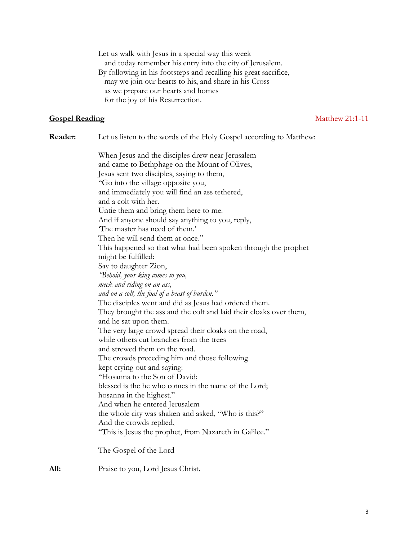Let us walk with Jesus in a special way this week and today remember his entry into the city of Jerusalem. By following in his footsteps and recalling his great sacrifice, may we join our hearts to his, and share in his Cross as we prepare our hearts and homes for the joy of his Resurrection.

**Gospel Reading** Matthew 21:1-11

**Reader:** Let us listen to the words of the Holy Gospel according to Matthew:

When Jesus and the disciples drew near Jerusalem and came to Bethphage on the Mount of Olives, Jesus sent two disciples, saying to them, "Go into the village opposite you, and immediately you will find an ass tethered, and a colt with her. Untie them and bring them here to me. And if anyone should say anything to you, reply, 'The master has need of them.' Then he will send them at once." This happened so that what had been spoken through the prophet might be fulfilled: Say to daughter Zion, *"Behold, your king comes to you, meek and riding on an ass, and on a colt, the foal of a beast of burden."* The disciples went and did as Jesus had ordered them. They brought the ass and the colt and laid their cloaks over them, and he sat upon them. The very large crowd spread their cloaks on the road, while others cut branches from the trees and strewed them on the road. The crowds preceding him and those following kept crying out and saying: "Hosanna to the Son of David; blessed is the he who comes in the name of the Lord; hosanna in the highest." And when he entered Jerusalem the whole city was shaken and asked, "Who is this?" And the crowds replied, "This is Jesus the prophet, from Nazareth in Galilee." The Gospel of the Lord

All: Praise to you, Lord Jesus Christ.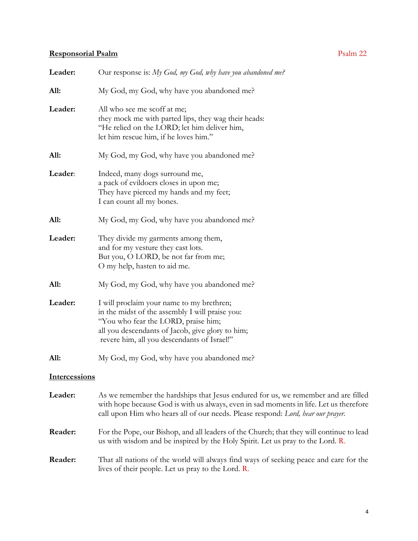# **Responsorial Psalm** Psalm 22

| Leader:              | Our response is: My God, my God, why have you abandoned me?                                                                                                                                                                                                      |
|----------------------|------------------------------------------------------------------------------------------------------------------------------------------------------------------------------------------------------------------------------------------------------------------|
| All:                 | My God, my God, why have you abandoned me?                                                                                                                                                                                                                       |
| Leader:              | All who see me scoff at me;<br>they mock me with parted lips, they wag their heads:<br>"He relied on the LORD; let him deliver him,<br>let him rescue him, if he loves him."                                                                                     |
| All:                 | My God, my God, why have you abandoned me?                                                                                                                                                                                                                       |
| Leader:              | Indeed, many dogs surround me,<br>a pack of evildoers closes in upon me;<br>They have pierced my hands and my feet;<br>I can count all my bones.                                                                                                                 |
| All:                 | My God, my God, why have you abandoned me?                                                                                                                                                                                                                       |
| Leader:              | They divide my garments among them,<br>and for my vesture they cast lots.<br>But you, O LORD, be not far from me;<br>O my help, hasten to aid me.                                                                                                                |
| All:                 | My God, my God, why have you abandoned me?                                                                                                                                                                                                                       |
| Leader:              | I will proclaim your name to my brethren;<br>in the midst of the assembly I will praise you:<br>"You who fear the LORD, praise him;<br>all you descendants of Jacob, give glory to him;<br>revere him, all you descendants of Israel!"                           |
| All:                 | My God, my God, why have you abandoned me?                                                                                                                                                                                                                       |
| <b>Intercessions</b> |                                                                                                                                                                                                                                                                  |
| Leader:              | As we remember the hardships that Jesus endured for us, we remember and are filled<br>with hope because God is with us always, even in sad moments in life. Let us therefore<br>call upon Him who hears all of our needs. Please respond: Lord, hear our prayer. |
| Reader:              | For the Pope, our Bishop, and all leaders of the Church; that they will continue to lead<br>us with wisdom and be inspired by the Holy Spirit. Let us pray to the Lord. R.                                                                                       |
| Reader:              | That all nations of the world will always find ways of seeking peace and care for the<br>lives of their people. Let us pray to the Lord. R.                                                                                                                      |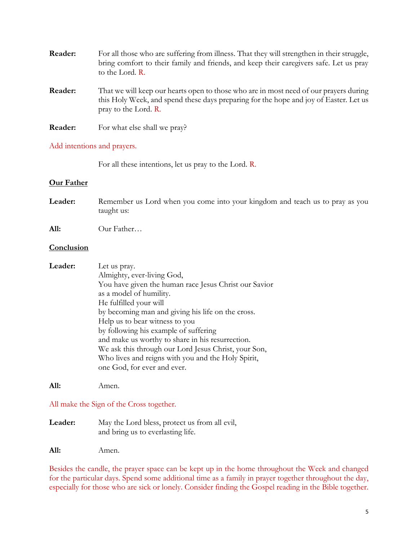| Reader: | For all those who are suffering from illness. That they will strengthen in their struggle,<br>bring comfort to their family and friends, and keep their caregivers safe. Let us pray<br>to the Lord. R. |
|---------|---------------------------------------------------------------------------------------------------------------------------------------------------------------------------------------------------------|
| Reader: | That we will keep our hearts open to those who are in most need of our prayers during<br>this Holy Week, and spend these days preparing for the hope and joy of Easter. Let us<br>pray to the Lord. R.  |
| Reader: | For what else shall we pray?                                                                                                                                                                            |

#### Add intentions and prayers.

For all these intentions, let us pray to the Lord. R.

### **Our Father**

| Leader: | Remember us Lord when you come into your kingdom and teach us to pray as you |
|---------|------------------------------------------------------------------------------|
|         | taught us:                                                                   |

**All:** Our Father…

#### **Conclusion**

| Leader: | Let us pray.                                          |
|---------|-------------------------------------------------------|
|         | Almighty, ever-living God,                            |
|         | You have given the human race Jesus Christ our Savior |
|         | as a model of humility.                               |
|         | He fulfilled your will                                |
|         | by becoming man and giving his life on the cross.     |
|         | Help us to bear witness to you                        |
|         | by following his example of suffering                 |
|         | and make us worthy to share in his resurrection.      |
|         | We ask this through our Lord Jesus Christ, your Son,  |
|         | Who lives and reigns with you and the Holy Spirit,    |
|         | one God, for ever and ever.                           |
|         |                                                       |

**All:** Amen.

All make the Sign of the Cross together.

| Leader: | May the Lord bless, protect us from all evil, |
|---------|-----------------------------------------------|
|         | and bring us to everlasting life.             |

**All:** Amen.

Besides the candle, the prayer space can be kept up in the home throughout the Week and changed for the particular days. Spend some additional time as a family in prayer together throughout the day, especially for those who are sick or lonely. Consider finding the Gospel reading in the Bible together.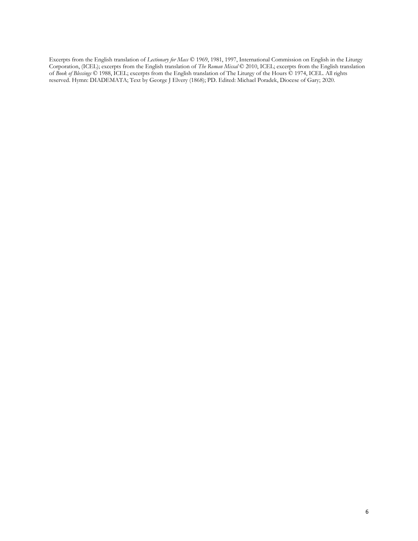Excerpts from the English translation of *Lectionary for Mass* © 1969, 1981, 1997, International Commission on English in the Liturgy Corporation, (ICEL); excerpts from the English translation of *The Roman Missal* © 2010, ICEL; excerpts from the English translation of *Book of Blessings* © 1988, ICEL; excerpts from the English translation of The Liturgy of the Hours © 1974, ICEL. All rights reserved. Hymn: DIADEMATA; Text by George J Elvery (1868); PD. Edited: Michael Poradek, Diocese of Gary; 2020.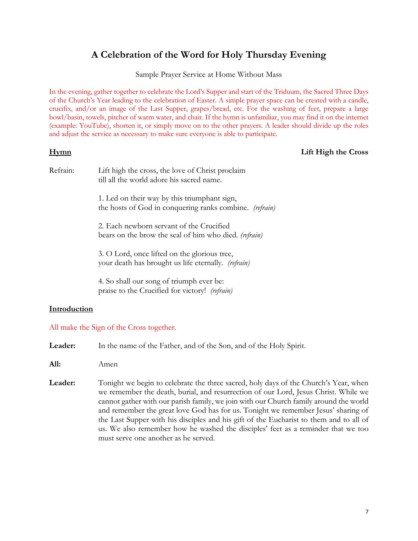# **A Celebration of the Word for Holy Thursday Evening**

Sample Prayer Service at Home Without Mass

In the evening, gather together to celebrate the Lord's Supper and start of the Triduum, the Sacred Three Days of the Church's Year leading to the celebration of Easter. A simple prayer space can be created with a candle, crucifix, and/or an image of the Last Supper, grapes/bread, etc. For the washing of feet, prepare a large bowl/basin, towels, pitcher of warm water, and chair. If the hymn is unfamiliar, you may find it on the internet (example: YouTube), shorten it, or simply move on to the other prayers. A leader should divide up the roles and adjust the service as necessary to make sure everyone is able to participate.

#### **Hymn Lift High the Cross**

| Refrain: | Lift high the cross, the love of Christ proclaim<br>till all the world adore his sacred name.              |
|----------|------------------------------------------------------------------------------------------------------------|
|          | 1. Led on their way by this triumphant sign,<br>the hosts of God in conquering ranks combine. (refrain)    |
|          | 2. Each newborn servant of the Crucified<br>bears on the brow the seal of him who died. <i>(refrain)</i>   |
|          | 3. O Lord, once lifted on the glorious tree,<br>your death has brought us life eternally. <i>(refrain)</i> |
|          | 4. So shall our song of triumph ever be:<br>praise to the Crucified for victory! (refrain)                 |

### **Introduction**

All make the Sign of the Cross together.

Leader: In the name of the Father, and of the Son, and of the Holy Spirit.

**All:** Amen

Leader: Tonight we begin to celebrate the three sacred, holy days of the Church's Year, when we remember the death, burial, and resurrection of our Lord, Jesus Christ. While we cannot gather with our parish family, we join with our Church family around the world and remember the great love God has for us. Tonight we remember Jesus' sharing of the Last Supper with his disciples and his gift of the Eucharist to them and to all of us. We also remember how he washed the disciples' feet as a reminder that we too must serve one another as he served.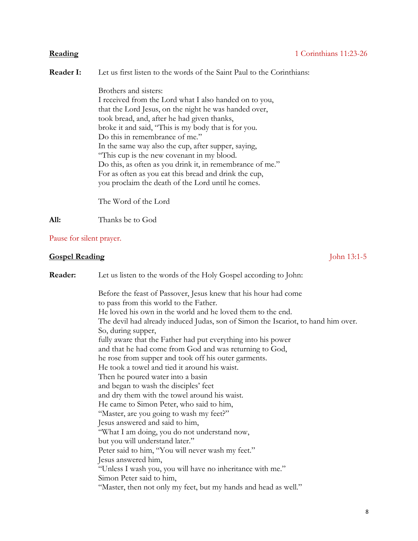**Reader I:** Let us first listen to the words of the Saint Paul to the Corinthians:

Brothers and sisters: I received from the Lord what I also handed on to you, that the Lord Jesus, on the night he was handed over, took bread, and, after he had given thanks, broke it and said, "This is my body that is for you. Do this in remembrance of me." In the same way also the cup, after supper, saying, "This cup is the new covenant in my blood. Do this, as often as you drink it, in remembrance of me." For as often as you eat this bread and drink the cup, you proclaim the death of the Lord until he comes.

The Word of the Lord

**All:** Thanks be to God

#### Pause for silent prayer.

#### **Gospel Reading** John 13:1-5

Before the feast of Passover, Jesus knew that his hour had come to pass from this world to the Father. He loved his own in the world and he loved them to the end. The devil had already induced Judas, son of Simon the Iscariot, to hand him over. So, during supper, fully aware that the Father had put everything into his power and that he had come from God and was returning to God, he rose from supper and took off his outer garments.

**Reader:** Let us listen to the words of the Holy Gospel according to John:

- He took a towel and tied it around his waist.
- Then he poured water into a basin
- and began to wash the disciples' feet
- and dry them with the towel around his waist.
- He came to Simon Peter, who said to him,
- "Master, are you going to wash my feet?"
- Jesus answered and said to him,
- "What I am doing, you do not understand now,
- but you will understand later."
- Peter said to him, "You will never wash my feet."
- Jesus answered him,
- "Unless I wash you, you will have no inheritance with me."
- Simon Peter said to him,
- "Master, then not only my feet, but my hands and head as well."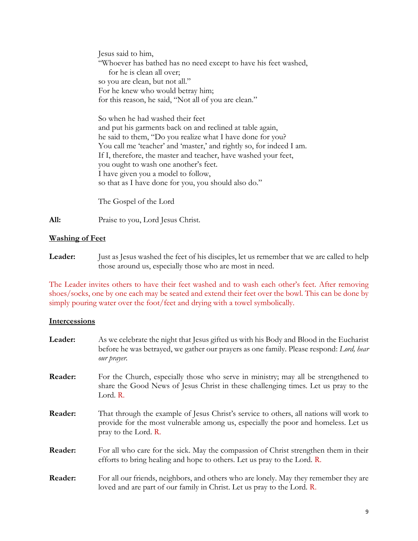Jesus said to him, "Whoever has bathed has no need except to have his feet washed, for he is clean all over; so you are clean, but not all." For he knew who would betray him; for this reason, he said, "Not all of you are clean."

So when he had washed their feet and put his garments back on and reclined at table again, he said to them, "Do you realize what I have done for you? You call me 'teacher' and 'master,' and rightly so, for indeed I am. If I, therefore, the master and teacher, have washed your feet, you ought to wash one another's feet. I have given you a model to follow, so that as I have done for you, you should also do."

The Gospel of the Lord

All: Praise to you, Lord Jesus Christ.

### **Washing of Feet**

Leader: Just as Jesus washed the feet of his disciples, let us remember that we are called to help those around us, especially those who are most in need.

The Leader invites others to have their feet washed and to wash each other's feet. After removing shoes/socks, one by one each may be seated and extend their feet over the bowl. This can be done by simply pouring water over the foot/feet and drying with a towel symbolically.

#### **Intercessions**

| Leader: | As we celebrate the night that Jesus gifted us with his Body and Blood in the Eucharist<br>before he was betrayed, we gather our prayers as one family. Please respond: Lord, hear<br>our prayer.    |
|---------|------------------------------------------------------------------------------------------------------------------------------------------------------------------------------------------------------|
| Reader: | For the Church, especially those who serve in ministry; may all be strengthened to<br>share the Good News of Jesus Christ in these challenging times. Let us pray to the<br>Lord. R.                 |
| Reader: | That through the example of Jesus Christ's service to others, all nations will work to<br>provide for the most vulnerable among us, especially the poor and homeless. Let us<br>pray to the Lord. R. |
| Reader: | For all who care for the sick. May the compassion of Christ strengthen them in their<br>efforts to bring healing and hope to others. Let us pray to the Lord. R.                                     |
| Reader: | For all our friends, neighbors, and others who are lonely. May they remember they are<br>loved and are part of our family in Christ. Let us pray to the Lord. R.                                     |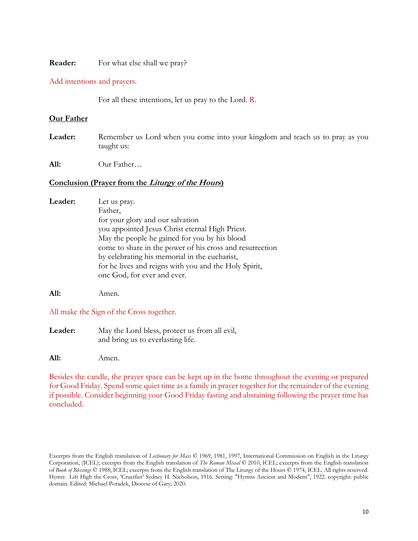**Reader:** For what else shall we pray?

#### Add intentions and prayers.

For all these intentions, let us pray to the Lord. R.

#### **Our Father**

Leader: Remember us Lord when you come into your kingdom and teach us to pray as you taught us:

**All:** Our Father…

#### **Conclusion (Prayer from the Liturgy of the Hours)**

| Leader: | Let us pray.                                             |
|---------|----------------------------------------------------------|
|         | Father,                                                  |
|         | for your glory and our salvation                         |
|         | you appointed Jesus Christ eternal High Priest.          |
|         | May the people he gained for you by his blood            |
|         | come to share in the power of his cross and resurrection |
|         | by celebrating his memorial in the eucharist,            |
|         | for he lives and reigns with you and the Holy Spirit,    |
|         | one God, for ever and ever.                              |
|         |                                                          |

**All:** Amen.

All make the Sign of the Cross together.

**Leader:** May the Lord bless, protect us from all evil, and bring us to everlasting life.

**All:** Amen.

Besides the candle, the prayer space can be kept up in the home throughout the evening or prepared for Good Friday. Spend some quiet time as a family in prayer together for the remainder of the evening if possible. Consider beginning your Good Friday fasting and abstaining following the prayer time has concluded.

Excerpts from the English translation of *Lectionary for Mass* © 1969, 1981, 1997, International Commission on English in the Liturgy Corporation, (ICEL); excerpts from the English translation of *The Roman Missal* © 2010, ICEL; excerpts from the English translation of *Book of Blessings* © 1988, ICEL; excerpts from the English translation of The Liturgy of the Hours © 1974, ICEL. All rights reserved. Hymn: Lift High the Cross, 'Crucifier' Sydney H. Nicholson, 1916. Setting: "Hymns Ancient and Modern", 1922. copyright: public domain. Edited: Michael Poradek, Diocese of Gary; 2020.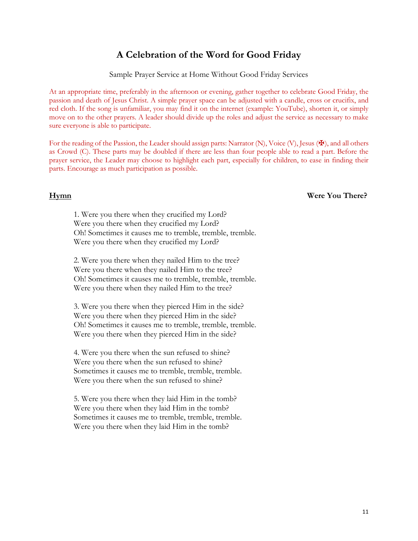# **A Celebration of the Word for Good Friday**

Sample Prayer Service at Home Without Good Friday Services

At an appropriate time, preferably in the afternoon or evening, gather together to celebrate Good Friday, the passion and death of Jesus Christ. A simple prayer space can be adjusted with a candle, cross or crucifix, and red cloth. If the song is unfamiliar, you may find it on the internet (example: YouTube), shorten it, or simply move on to the other prayers. A leader should divide up the roles and adjust the service as necessary to make sure everyone is able to participate.

For the reading of the Passion, the Leader should assign parts: Narrator (N), Voice (V), Jesus ( $\mathbf{\mathbf{\mathbf{\mathbf{F}}}}$ ), and all others as Crowd (C). These parts may be doubled if there are less than four people able to read a part. Before the prayer service, the Leader may choose to highlight each part, especially for children, to ease in finding their parts. Encourage as much participation as possible.

**Hymn** Were You There?

1. Were you there when they crucified my Lord? Were you there when they crucified my Lord? Oh! Sometimes it causes me to tremble, tremble, tremble. Were you there when they crucified my Lord?

2. Were you there when they nailed Him to the tree? Were you there when they nailed Him to the tree? Oh! Sometimes it causes me to tremble, tremble, tremble. Were you there when they nailed Him to the tree?

3. Were you there when they pierced Him in the side? Were you there when they pierced Him in the side? Oh! Sometimes it causes me to tremble, tremble, tremble. Were you there when they pierced Him in the side?

4. Were you there when the sun refused to shine? Were you there when the sun refused to shine? Sometimes it causes me to tremble, tremble, tremble. Were you there when the sun refused to shine?

5. Were you there when they laid Him in the tomb? Were you there when they laid Him in the tomb? Sometimes it causes me to tremble, tremble, tremble. Were you there when they laid Him in the tomb?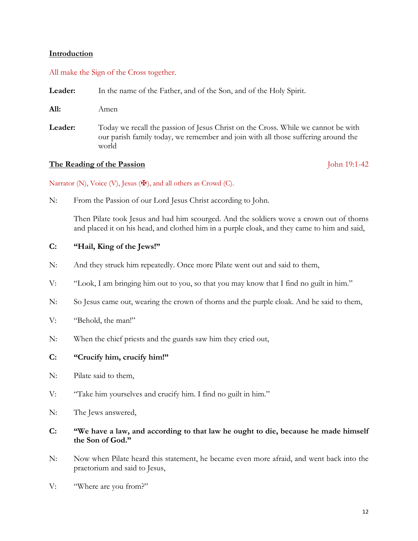#### **Introduction**

All make the Sign of the Cross together.

**Leader:** In the name of the Father, and of the Son, and of the Holy Spirit.

**All:** Amen

**Leader:** Today we recall the passion of Jesus Christ on the Cross. While we cannot be with our parish family today, we remember and join with all those suffering around the world

#### **The Reading of the Passion**  John 19:1-42

Narrator (N), Voice (V), Jesus  $(\mathbf{\mathbf{\mathbf{\mathbf{\mathbf{H}}}}})$ , and all others as Crowd (C).

N: From the Passion of our Lord Jesus Christ according to John.

Then Pilate took Jesus and had him scourged. And the soldiers wove a crown out of thorns and placed it on his head, and clothed him in a purple cloak, and they came to him and said,

#### **C: "Hail, King of the Jews!"**

- N: And they struck him repeatedly. Once more Pilate went out and said to them,
- V: "Look, I am bringing him out to you, so that you may know that I find no guilt in him."
- N: So Jesus came out, wearing the crown of thorns and the purple cloak. And he said to them,
- V: "Behold, the man!"
- N: When the chief priests and the guards saw him they cried out,

### **C: "Crucify him, crucify him!"**

- N: Pilate said to them,
- V: "Take him yourselves and crucify him. I find no guilt in him."
- N: The Jews answered,

### **C: "We have a law, and according to that law he ought to die, because he made himself the Son of God."**

- N: Now when Pilate heard this statement, he became even more afraid, and went back into the praetorium and said to Jesus,
- V: "Where are you from?"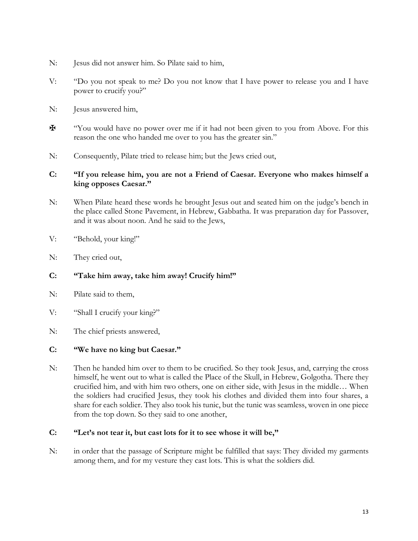- N: Jesus did not answer him. So Pilate said to him,
- V: "Do you not speak to me? Do you not know that I have power to release you and I have power to crucify you?"
- N: Jesus answered him,
- ✠ "You would have no power over me if it had not been given to you from Above. For this reason the one who handed me over to you has the greater sin."
- N: Consequently, Pilate tried to release him; but the Jews cried out,

### **C: "If you release him, you are not a Friend of Caesar. Everyone who makes himself a king opposes Caesar."**

- N: When Pilate heard these words he brought Jesus out and seated him on the judge's bench in the place called Stone Pavement, in Hebrew, Gabbatha. It was preparation day for Passover, and it was about noon. And he said to the Jews,
- V: "Behold, your king!"
- N: They cried out,
- **C: "Take him away, take him away! Crucify him!"**
- N: Pilate said to them,
- V: "Shall I crucify your king?"
- N: The chief priests answered,

#### **C: "We have no king but Caesar."**

N: Then he handed him over to them to be crucified. So they took Jesus, and, carrying the cross himself, he went out to what is called the Place of the Skull, in Hebrew, Golgotha. There they crucified him, and with him two others, one on either side, with Jesus in the middle… When the soldiers had crucified Jesus, they took his clothes and divided them into four shares, a share for each soldier. They also took his tunic, but the tunic was seamless, woven in one piece from the top down. So they said to one another,

#### **C: "Let's not tear it, but cast lots for it to see whose it will be,"**

N: in order that the passage of Scripture might be fulfilled that says: They divided my garments among them, and for my vesture they cast lots. This is what the soldiers did.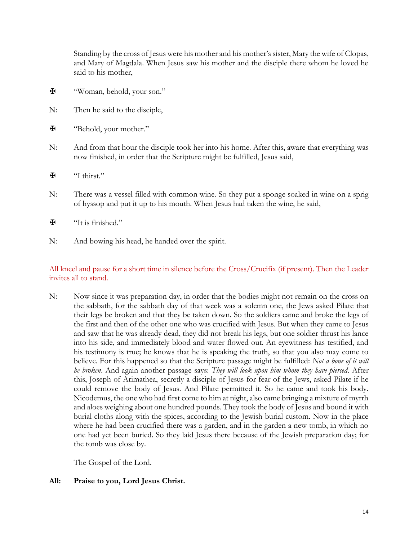Standing by the cross of Jesus were his mother and his mother's sister, Mary the wife of Clopas, and Mary of Magdala. When Jesus saw his mother and the disciple there whom he loved he said to his mother,

- ✠ "Woman, behold, your son."
- N: Then he said to the disciple,
- ✠ "Behold, your mother."
- N: And from that hour the disciple took her into his home. After this, aware that everything was now finished, in order that the Scripture might be fulfilled, Jesus said,
- ✠ "I thirst."
- N: There was a vessel filled with common wine. So they put a sponge soaked in wine on a sprig of hyssop and put it up to his mouth. When Jesus had taken the wine, he said,
- ✠ "It is finished."
- N: And bowing his head, he handed over the spirit.

### All kneel and pause for a short time in silence before the Cross/Crucifix (if present). Then the Leader invites all to stand.

N: Now since it was preparation day, in order that the bodies might not remain on the cross on the sabbath, for the sabbath day of that week was a solemn one, the Jews asked Pilate that their legs be broken and that they be taken down. So the soldiers came and broke the legs of the first and then of the other one who was crucified with Jesus. But when they came to Jesus and saw that he was already dead, they did not break his legs, but one soldier thrust his lance into his side, and immediately blood and water flowed out. An eyewitness has testified, and his testimony is true; he knows that he is speaking the truth, so that you also may come to believe. For this happened so that the Scripture passage might be fulfilled: *Not a bone of it will be broken*. And again another passage says: *They will look upon him whom they have pierced*. After this, Joseph of Arimathea, secretly a disciple of Jesus for fear of the Jews, asked Pilate if he could remove the body of Jesus. And Pilate permitted it. So he came and took his body. Nicodemus, the one who had first come to him at night, also came bringing a mixture of myrrh and aloes weighing about one hundred pounds. They took the body of Jesus and bound it with burial cloths along with the spices, according to the Jewish burial custom. Now in the place where he had been crucified there was a garden, and in the garden a new tomb, in which no one had yet been buried. So they laid Jesus there because of the Jewish preparation day; for the tomb was close by.

The Gospel of the Lord.

### **All: Praise to you, Lord Jesus Christ.**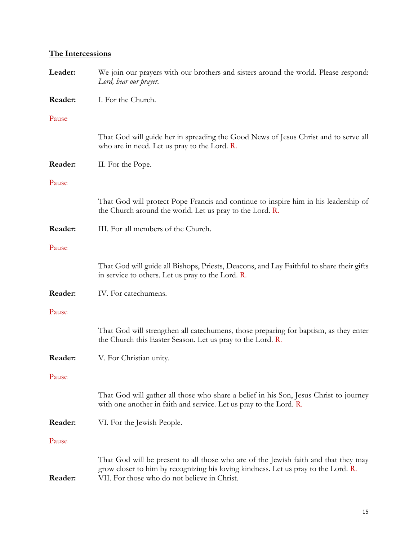# **The Intercessions**

| Leader: | We join our prayers with our brothers and sisters around the world. Please respond:<br>Lord, hear our prayer.                                                                                                             |  |
|---------|---------------------------------------------------------------------------------------------------------------------------------------------------------------------------------------------------------------------------|--|
| Reader: | I. For the Church.                                                                                                                                                                                                        |  |
| Pause   |                                                                                                                                                                                                                           |  |
|         | That God will guide her in spreading the Good News of Jesus Christ and to serve all<br>who are in need. Let us pray to the Lord. R.                                                                                       |  |
| Reader: | II. For the Pope.                                                                                                                                                                                                         |  |
| Pause   |                                                                                                                                                                                                                           |  |
|         | That God will protect Pope Francis and continue to inspire him in his leadership of<br>the Church around the world. Let us pray to the Lord. R.                                                                           |  |
| Reader: | III. For all members of the Church.                                                                                                                                                                                       |  |
| Pause   |                                                                                                                                                                                                                           |  |
|         | That God will guide all Bishops, Priests, Deacons, and Lay Faithful to share their gifts<br>in service to others. Let us pray to the Lord. R.                                                                             |  |
| Reader: | IV. For catechumens.                                                                                                                                                                                                      |  |
| Pause   |                                                                                                                                                                                                                           |  |
|         | That God will strengthen all catechumens, those preparing for baptism, as they enter<br>the Church this Easter Season. Let us pray to the Lord. R.                                                                        |  |
| Reader: | V. For Christian unity.                                                                                                                                                                                                   |  |
| Pause   |                                                                                                                                                                                                                           |  |
|         | That God will gather all those who share a belief in his Son, Jesus Christ to journey<br>with one another in faith and service. Let us pray to the Lord. R.                                                               |  |
| Reader: | VI. For the Jewish People.                                                                                                                                                                                                |  |
| Pause   |                                                                                                                                                                                                                           |  |
| Reader: | That God will be present to all those who are of the Jewish faith and that they may<br>grow closer to him by recognizing his loving kindness. Let us pray to the Lord. R.<br>VII. For those who do not believe in Christ. |  |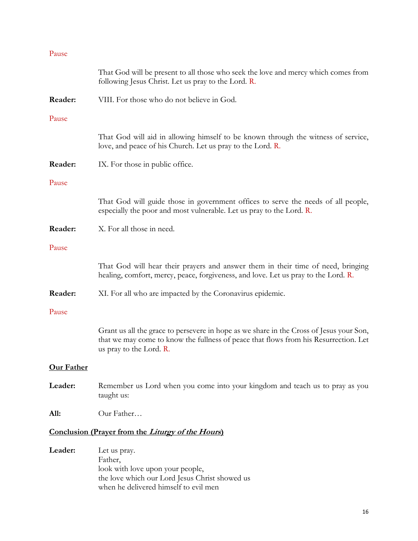|  | . | ۰, | × |
|--|---|----|---|

|                   | That God will be present to all those who seek the love and mercy which comes from<br>following Jesus Christ. Let us pray to the Lord. R.                                                                  |  |
|-------------------|------------------------------------------------------------------------------------------------------------------------------------------------------------------------------------------------------------|--|
| Reader:           | VIII. For those who do not believe in God.                                                                                                                                                                 |  |
| Pause             |                                                                                                                                                                                                            |  |
|                   | That God will aid in allowing himself to be known through the witness of service,<br>love, and peace of his Church. Let us pray to the Lord. R.                                                            |  |
| Reader:           | IX. For those in public office.                                                                                                                                                                            |  |
| Pause             |                                                                                                                                                                                                            |  |
|                   | That God will guide those in government offices to serve the needs of all people,<br>especially the poor and most vulnerable. Let us pray to the Lord. R.                                                  |  |
| Reader:           | X. For all those in need.                                                                                                                                                                                  |  |
| Pause             |                                                                                                                                                                                                            |  |
|                   | That God will hear their prayers and answer them in their time of need, bringing<br>healing, comfort, mercy, peace, forgiveness, and love. Let us pray to the Lord. R.                                     |  |
| Reader:           | XI. For all who are impacted by the Coronavirus epidemic.                                                                                                                                                  |  |
| Pause             |                                                                                                                                                                                                            |  |
|                   | Grant us all the grace to persevere in hope as we share in the Cross of Jesus your Son,<br>that we may come to know the fullness of peace that flows from his Resurrection. Let<br>us pray to the Lord. R. |  |
| <b>Our Father</b> |                                                                                                                                                                                                            |  |
| Leader:           | Remember us Lord when you come into your kingdom and teach us to pray as you<br>taught us:                                                                                                                 |  |
| All:              | Our Father                                                                                                                                                                                                 |  |
|                   | Conclusion (Prayer from the Liturgy of the Hours)                                                                                                                                                          |  |
| Leader:           | Let us pray.<br>Father,<br>look with love upon your people,<br>the love which our Lord Jesus Christ showed us<br>when he delivered himself to evil men                                                     |  |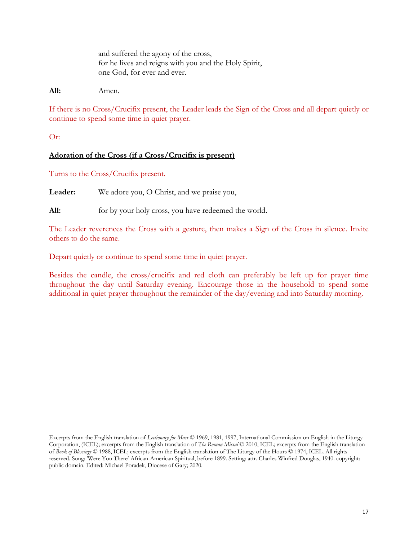and suffered the agony of the cross, for he lives and reigns with you and the Holy Spirit, one God, for ever and ever.

**All:** Amen.

If there is no Cross/Crucifix present, the Leader leads the Sign of the Cross and all depart quietly or continue to spend some time in quiet prayer.

Or:

### **Adoration of the Cross (if a Cross/Crucifix is present)**

Turns to the Cross/Crucifix present.

**Leader:** We adore you, O Christ, and we praise you,

All: for by your holy cross, you have redeemed the world.

The Leader reverences the Cross with a gesture, then makes a Sign of the Cross in silence. Invite others to do the same.

Depart quietly or continue to spend some time in quiet prayer.

Besides the candle, the cross/crucifix and red cloth can preferably be left up for prayer time throughout the day until Saturday evening. Encourage those in the household to spend some additional in quiet prayer throughout the remainder of the day/evening and into Saturday morning.

Excerpts from the English translation of *Lectionary for Mass* © 1969, 1981, 1997, International Commission on English in the Liturgy Corporation, (ICEL); excerpts from the English translation of *The Roman Missal* © 2010, ICEL; excerpts from the English translation of *Book of Blessings* © 1988, ICEL; excerpts from the English translation of The Liturgy of the Hours © 1974, ICEL. All rights reserved. Song: 'Were You There' African-American Spiritual, before 1899. Setting: attr. Charles Winfred Douglas, 1940. copyright: public domain. Edited: Michael Poradek, Diocese of Gary; 2020.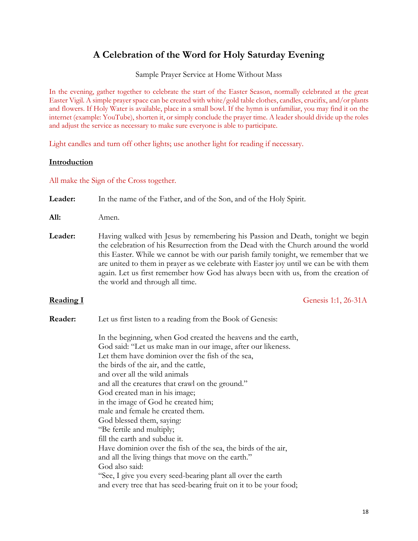# **A Celebration of the Word for Holy Saturday Evening**

Sample Prayer Service at Home Without Mass

In the evening, gather together to celebrate the start of the Easter Season, normally celebrated at the great Easter Vigil. A simple prayer space can be created with white/gold table clothes, candles, crucifix, and/or plants and flowers. If Holy Water is available, place in a small bowl. If the hymn is unfamiliar, you may find it on the internet (example: YouTube), shorten it, or simply conclude the prayer time. A leader should divide up the roles and adjust the service as necessary to make sure everyone is able to participate.

Light candles and turn off other lights; use another light for reading if necessary.

#### **Introduction**

All make the Sign of the Cross together.

| Leader:          | In the name of the Father, and of the Son, and of the Holy Spirit.                                                                                                                                                                                                                                                                                                                                                                                                                                                                                                                                                                                                                                                                                                                                   |  |
|------------------|------------------------------------------------------------------------------------------------------------------------------------------------------------------------------------------------------------------------------------------------------------------------------------------------------------------------------------------------------------------------------------------------------------------------------------------------------------------------------------------------------------------------------------------------------------------------------------------------------------------------------------------------------------------------------------------------------------------------------------------------------------------------------------------------------|--|
| All:             | Amen.                                                                                                                                                                                                                                                                                                                                                                                                                                                                                                                                                                                                                                                                                                                                                                                                |  |
| Leader:          | Having walked with Jesus by remembering his Passion and Death, tonight we begin<br>the celebration of his Resurrection from the Dead with the Church around the world<br>this Easter. While we cannot be with our parish family tonight, we remember that we<br>are united to them in prayer as we celebrate with Easter joy until we can be with them<br>again. Let us first remember how God has always been with us, from the creation of<br>the world and through all time.                                                                                                                                                                                                                                                                                                                      |  |
| <b>Reading I</b> | Genesis 1:1, 26-31A                                                                                                                                                                                                                                                                                                                                                                                                                                                                                                                                                                                                                                                                                                                                                                                  |  |
| Reader:          | Let us first listen to a reading from the Book of Genesis:                                                                                                                                                                                                                                                                                                                                                                                                                                                                                                                                                                                                                                                                                                                                           |  |
|                  | In the beginning, when God created the heavens and the earth,<br>God said: "Let us make man in our image, after our likeness.<br>Let them have dominion over the fish of the sea,<br>the birds of the air, and the cattle,<br>and over all the wild animals<br>and all the creatures that crawl on the ground."<br>God created man in his image;<br>in the image of God he created him;<br>male and female he created them.<br>God blessed them, saying:<br>"Be fertile and multiply;<br>fill the earth and subdue it.<br>Have dominion over the fish of the sea, the birds of the air,<br>and all the living things that move on the earth."<br>God also said:<br>"See, I give you every seed-bearing plant all over the earth<br>and every tree that has seed-bearing fruit on it to be your food; |  |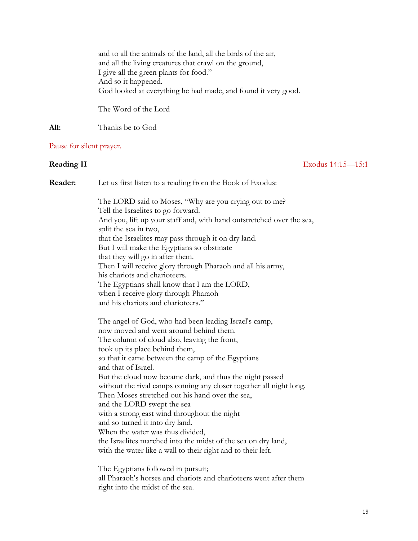and to all the animals of the land, all the birds of the air, and all the living creatures that crawl on the ground, I give all the green plants for food." And so it happened. God looked at everything he had made, and found it very good.

The Word of the Lord

**All:** Thanks be to God

#### Pause for silent prayer.

**Reading II** Exodus 14:15—15:1

**Reader:** Let us first listen to a reading from the Book of Exodus: The LORD said to Moses, "Why are you crying out to me? Tell the Israelites to go forward. And you, lift up your staff and, with hand outstretched over the sea, split the sea in two, that the Israelites may pass through it on dry land. But I will make the Egyptians so obstinate that they will go in after them. Then I will receive glory through Pharaoh and all his army, his chariots and charioteers. The Egyptians shall know that I am the LORD, when I receive glory through Pharaoh and his chariots and charioteers." The angel of God, who had been leading Israel's camp, now moved and went around behind them. The column of cloud also, leaving the front, took up its place behind them, so that it came between the camp of the Egyptians and that of Israel. But the cloud now became dark, and thus the night passed without the rival camps coming any closer together all night long. Then Moses stretched out his hand over the sea, and the LORD swept the sea with a strong east wind throughout the night and so turned it into dry land. When the water was thus divided, the Israelites marched into the midst of the sea on dry land, with the water like a wall to their right and to their left. The Egyptians followed in pursuit;

all Pharaoh's horses and chariots and charioteers went after them right into the midst of the sea.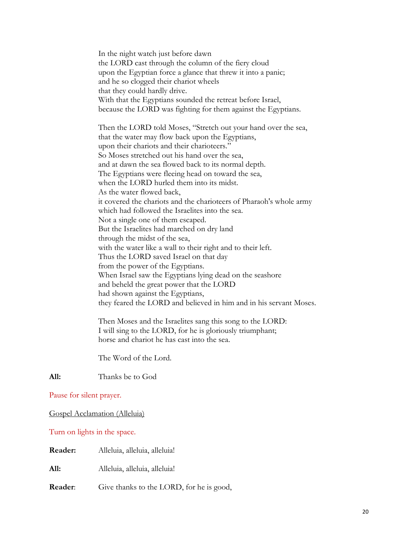In the night watch just before dawn the LORD cast through the column of the fiery cloud upon the Egyptian force a glance that threw it into a panic; and he so clogged their chariot wheels that they could hardly drive. With that the Egyptians sounded the retreat before Israel, because the LORD was fighting for them against the Egyptians. Then the LORD told Moses, "Stretch out your hand over the sea, that the water may flow back upon the Egyptians, upon their chariots and their charioteers." So Moses stretched out his hand over the sea, and at dawn the sea flowed back to its normal depth. The Egyptians were fleeing head on toward the sea, when the LORD hurled them into its midst. As the water flowed back, it covered the chariots and the charioteers of Pharaoh's whole army which had followed the Israelites into the sea. Not a single one of them escaped. But the Israelites had marched on dry land through the midst of the sea, with the water like a wall to their right and to their left. Thus the LORD saved Israel on that day from the power of the Egyptians. When Israel saw the Egyptians lying dead on the seashore and beheld the great power that the LORD had shown against the Egyptians, they feared the LORD and believed in him and in his servant Moses.

Then Moses and the Israelites sang this song to the LORD: I will sing to the LORD, for he is gloriously triumphant; horse and chariot he has cast into the sea.

The Word of the Lord.

**All:** Thanks be to God

Pause for silent prayer.

Gospel Acclamation (Alleluia)

Turn on lights in the space.

**Reader:** Alleluia, alleluia, alleluia!

**All:** Alleluia, alleluia, alleluia!

**Reader:** Give thanks to the LORD, for he is good,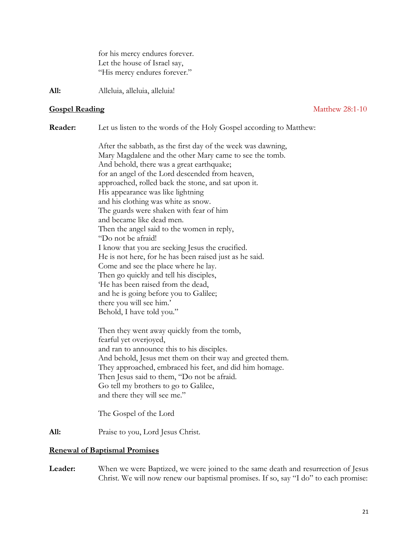for his mercy endures forever. Let the house of Israel say, "His mercy endures forever."

**All:** Alleluia, alleluia, alleluia!

#### **Gospel Reading** Matthew 28:1-10

**Reader:** Let us listen to the words of the Holy Gospel according to Matthew:

After the sabbath, as the first day of the week was dawning, Mary Magdalene and the other Mary came to see the tomb. And behold, there was a great earthquake; for an angel of the Lord descended from heaven, approached, rolled back the stone, and sat upon it. His appearance was like lightning and his clothing was white as snow. The guards were shaken with fear of him and became like dead men. Then the angel said to the women in reply, "Do not be afraid! I know that you are seeking Jesus the crucified. He is not here, for he has been raised just as he said. Come and see the place where he lay. Then go quickly and tell his disciples, 'He has been raised from the dead, and he is going before you to Galilee; there you will see him.' Behold, I have told you."

Then they went away quickly from the tomb, fearful yet overjoyed, and ran to announce this to his disciples. And behold, Jesus met them on their way and greeted them. They approached, embraced his feet, and did him homage. Then Jesus said to them, "Do not be afraid. Go tell my brothers to go to Galilee, and there they will see me."

The Gospel of the Lord

All: Praise to you, Lord Jesus Christ.

#### **Renewal of Baptismal Promises**

**Leader:** When we were Baptized, we were joined to the same death and resurrection of Jesus Christ. We will now renew our baptismal promises. If so, say "I do" to each promise: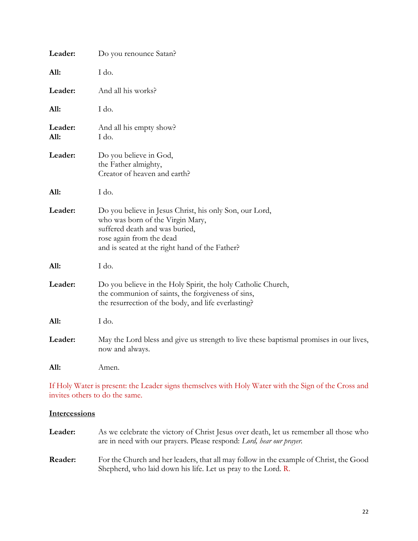| Leader:         | Do you renounce Satan?                                                                                                                                                                                      |  |
|-----------------|-------------------------------------------------------------------------------------------------------------------------------------------------------------------------------------------------------------|--|
| All:            | I do.                                                                                                                                                                                                       |  |
| Leader:         | And all his works?                                                                                                                                                                                          |  |
| All:            | I do.                                                                                                                                                                                                       |  |
| Leader:<br>All: | And all his empty show?<br>I do.                                                                                                                                                                            |  |
| Leader:         | Do you believe in God,<br>the Father almighty,<br>Creator of heaven and earth?                                                                                                                              |  |
| All:            | I do.                                                                                                                                                                                                       |  |
| Leader:         | Do you believe in Jesus Christ, his only Son, our Lord,<br>who was born of the Virgin Mary,<br>suffered death and was buried,<br>rose again from the dead<br>and is seated at the right hand of the Father? |  |
| All:            | I do.                                                                                                                                                                                                       |  |
| Leader:         | Do you believe in the Holy Spirit, the holy Catholic Church,<br>the communion of saints, the forgiveness of sins,<br>the resurrection of the body, and life everlasting?                                    |  |
| All:            | I do.                                                                                                                                                                                                       |  |
| Leader:         | May the Lord bless and give us strength to live these baptismal promises in our lives,<br>now and always.                                                                                                   |  |
| All:            | Amen.                                                                                                                                                                                                       |  |

If Holy Water is present: the Leader signs themselves with Holy Water with the Sign of the Cross and invites others to do the same.

### **Intercessions**

| Leader: | As we celebrate the victory of Christ Jesus over death, let us remember all those who<br>are in need with our prayers. Please respond: Lord, hear our prayer. |
|---------|---------------------------------------------------------------------------------------------------------------------------------------------------------------|
| Reader: | For the Church and her leaders, that all may follow in the example of Christ, the Good<br>Shepherd, who laid down his life. Let us pray to the Lord. R.       |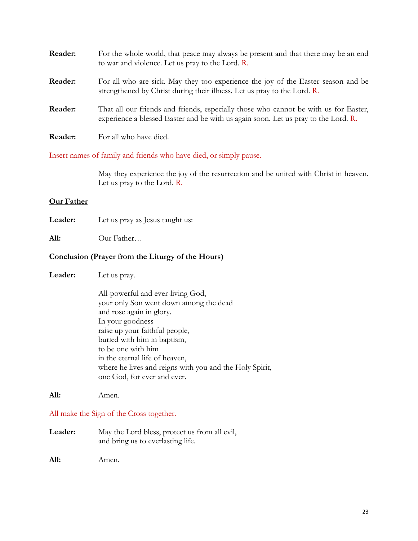| Reader: | For the whole world, that peace may always be present and that there may be an end<br>to war and violence. Let us pray to the Lord. R.                                     |
|---------|----------------------------------------------------------------------------------------------------------------------------------------------------------------------------|
| Reader: | For all who are sick. May they too experience the joy of the Easter season and be<br>strengthened by Christ during their illness. Let us pray to the Lord. R.              |
| Reader: | That all our friends and friends, especially those who cannot be with us for Easter,<br>experience a blessed Easter and be with us again soon. Let us pray to the Lord. R. |
| Reader: | For all who have died.                                                                                                                                                     |

Insert names of family and friends who have died, or simply pause.

May they experience the joy of the resurrection and be united with Christ in heaven. Let us pray to the Lord. R.

#### **Our Father**

Leader: Let us pray as Jesus taught us:

**All:** Our Father…

### **Conclusion (Prayer from the Liturgy of the Hours)**

**Leader:** Let us pray.

| All-powerful and ever-living God,                       |
|---------------------------------------------------------|
| your only Son went down among the dead                  |
| and rose again in glory.                                |
| In your goodness                                        |
| raise up your faithful people,                          |
| buried with him in baptism,                             |
| to be one with him                                      |
| in the eternal life of heaven,                          |
| where he lives and reigns with you and the Holy Spirit, |
| one God, for ever and ever.                             |
|                                                         |

**All:** Amen.

All make the Sign of the Cross together.

**Leader:** May the Lord bless, protect us from all evil, and bring us to everlasting life.

**All:** Amen.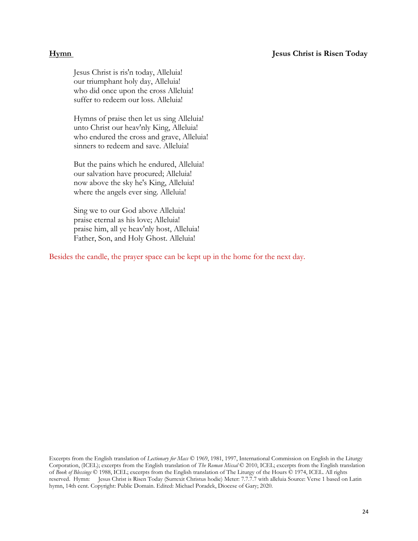#### **Hymn Jesus Christ is Risen Today**

Jesus Christ is ris'n today, Alleluia! our triumphant holy day, Alleluia! who did once upon the cross Alleluia! suffer to redeem our loss. Alleluia!

Hymns of praise then let us sing Alleluia! unto Christ our heav'nly King, Alleluia! who endured the cross and grave, Alleluia! sinners to redeem and save. Alleluia!

But the pains which he endured, Alleluia! our salvation have procured; Alleluia! now above the sky he's King, Alleluia! where the angels ever sing. Alleluia!

Sing we to our God above Alleluia! praise eternal as his love; Alleluia! praise him, all ye heav'nly host, Alleluia! Father, Son, and Holy Ghost. Alleluia!

Besides the candle, the prayer space can be kept up in the home for the next day.

Excerpts from the English translation of *Lectionary for Mass* © 1969, 1981, 1997, International Commission on English in the Liturgy Corporation, (ICEL); excerpts from the English translation of *The Roman Missal* © 2010, ICEL; excerpts from the English translation of *Book of Blessings* © 1988, ICEL; excerpts from the English translation of The Liturgy of the Hours © 1974, ICEL. All rights reserved. Hymn: Jesus Christ is Risen Today (Surrexit Christus hodie) Meter: 7.7.7.7 with alleluia Source: Verse 1 based on Latin hymn, 14th cent. Copyright: Public Domain. Edited: Michael Poradek, Diocese of Gary; 2020.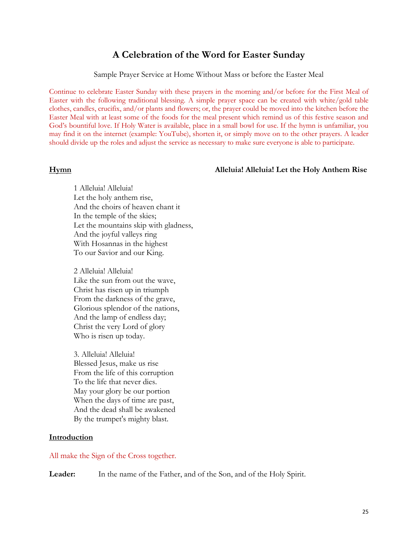# **A Celebration of the Word for Easter Sunday**

Sample Prayer Service at Home Without Mass or before the Easter Meal

Continue to celebrate Easter Sunday with these prayers in the morning and/or before for the First Meal of Easter with the following traditional blessing. A simple prayer space can be created with white/gold table clothes, candles, crucifix, and/or plants and flowers; or, the prayer could be moved into the kitchen before the Easter Meal with at least some of the foods for the meal present which remind us of this festive season and God's bountiful love. If Holy Water is available, place in a small bowl for use. If the hymn is unfamiliar, you may find it on the internet (example: YouTube), shorten it, or simply move on to the other prayers. A leader should divide up the roles and adjust the service as necessary to make sure everyone is able to participate.

#### **Hymn Alleluia! Alleluia! Let the Holy Anthem Rise**

1 Alleluia! Alleluia! Let the holy anthem rise, And the choirs of heaven chant it In the temple of the skies; Let the mountains skip with gladness, And the joyful valleys ring With Hosannas in the highest To our Savior and our King.

2 Alleluia! Alleluia! Like the sun from out the wave, Christ has risen up in triumph From the darkness of the grave, Glorious splendor of the nations, And the lamp of endless day; Christ the very Lord of glory Who is risen up today.

3. Alleluia! Alleluia! Blessed Jesus, make us rise From the life of this corruption To the life that never dies. May your glory be our portion When the days of time are past, And the dead shall be awakened By the trumpet's mighty blast.

#### **Introduction**

#### All make the Sign of the Cross together.

**Leader:** In the name of the Father, and of the Son, and of the Holy Spirit.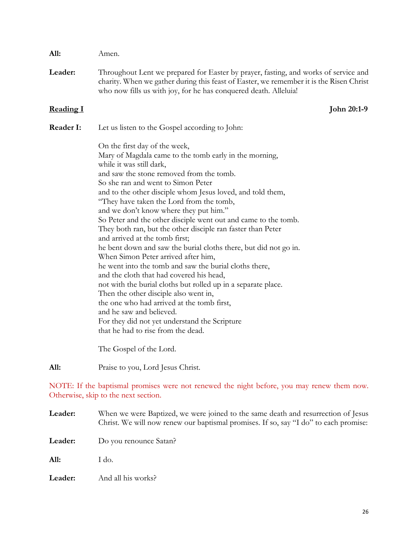| All:                                                                                                                               | Amen.                                                                                                                                                                                                                                                                                                                                                                                                                                                                                                                                                                                                                                                                                                                                                                                                                                                                                                                                                                                                                                               |  |
|------------------------------------------------------------------------------------------------------------------------------------|-----------------------------------------------------------------------------------------------------------------------------------------------------------------------------------------------------------------------------------------------------------------------------------------------------------------------------------------------------------------------------------------------------------------------------------------------------------------------------------------------------------------------------------------------------------------------------------------------------------------------------------------------------------------------------------------------------------------------------------------------------------------------------------------------------------------------------------------------------------------------------------------------------------------------------------------------------------------------------------------------------------------------------------------------------|--|
| Leader:                                                                                                                            | Throughout Lent we prepared for Easter by prayer, fasting, and works of service and<br>charity. When we gather during this feast of Easter, we remember it is the Risen Christ<br>who now fills us with joy, for he has conquered death. Alleluia!                                                                                                                                                                                                                                                                                                                                                                                                                                                                                                                                                                                                                                                                                                                                                                                                  |  |
| <b>Reading I</b>                                                                                                                   | John 20:1-9                                                                                                                                                                                                                                                                                                                                                                                                                                                                                                                                                                                                                                                                                                                                                                                                                                                                                                                                                                                                                                         |  |
| Reader I:                                                                                                                          | Let us listen to the Gospel according to John:                                                                                                                                                                                                                                                                                                                                                                                                                                                                                                                                                                                                                                                                                                                                                                                                                                                                                                                                                                                                      |  |
|                                                                                                                                    | On the first day of the week,<br>Mary of Magdala came to the tomb early in the morning,<br>while it was still dark,<br>and saw the stone removed from the tomb.<br>So she ran and went to Simon Peter<br>and to the other disciple whom Jesus loved, and told them,<br>"They have taken the Lord from the tomb,<br>and we don't know where they put him."<br>So Peter and the other disciple went out and came to the tomb.<br>They both ran, but the other disciple ran faster than Peter<br>and arrived at the tomb first;<br>he bent down and saw the burial cloths there, but did not go in.<br>When Simon Peter arrived after him,<br>he went into the tomb and saw the burial cloths there,<br>and the cloth that had covered his head,<br>not with the burial cloths but rolled up in a separate place.<br>Then the other disciple also went in,<br>the one who had arrived at the tomb first,<br>and he saw and believed.<br>For they did not yet understand the Scripture<br>that he had to rise from the dead.<br>The Gospel of the Lord. |  |
| All:                                                                                                                               | Praise to you, Lord Jesus Christ.                                                                                                                                                                                                                                                                                                                                                                                                                                                                                                                                                                                                                                                                                                                                                                                                                                                                                                                                                                                                                   |  |
| NOTE: If the baptismal promises were not renewed the night before, you may renew them now.<br>Otherwise, skip to the next section. |                                                                                                                                                                                                                                                                                                                                                                                                                                                                                                                                                                                                                                                                                                                                                                                                                                                                                                                                                                                                                                                     |  |

- **Leader:** When we were Baptized, we were joined to the same death and resurrection of Jesus Christ. We will now renew our baptismal promises. If so, say "I do" to each promise:
- Leader: Do you renounce Satan?
- **All:** I do.
- **Leader:** And all his works?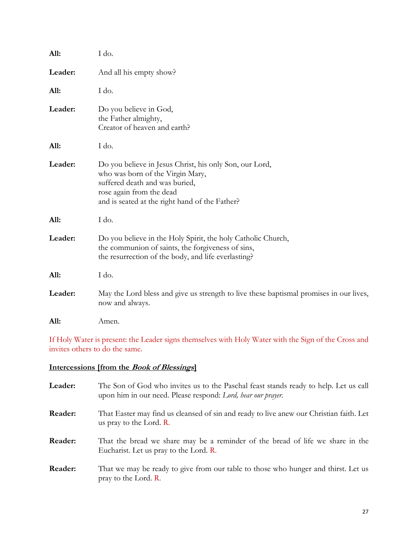| All:    | I do.                                                                                                                                                                                                       |  |
|---------|-------------------------------------------------------------------------------------------------------------------------------------------------------------------------------------------------------------|--|
| Leader: | And all his empty show?                                                                                                                                                                                     |  |
| All:    | I do.                                                                                                                                                                                                       |  |
| Leader: | Do you believe in God,<br>the Father almighty,<br>Creator of heaven and earth?                                                                                                                              |  |
| All:    | I do.                                                                                                                                                                                                       |  |
| Leader: | Do you believe in Jesus Christ, his only Son, our Lord,<br>who was born of the Virgin Mary,<br>suffered death and was buried,<br>rose again from the dead<br>and is seated at the right hand of the Father? |  |
| All:    | I do.                                                                                                                                                                                                       |  |
| Leader: | Do you believe in the Holy Spirit, the holy Catholic Church,<br>the communion of saints, the forgiveness of sins,<br>the resurrection of the body, and life everlasting?                                    |  |
| All:    | I do.                                                                                                                                                                                                       |  |
| Leader: | May the Lord bless and give us strength to live these baptismal promises in our lives,<br>now and always.                                                                                                   |  |
| All:    | Amen.                                                                                                                                                                                                       |  |

If Holy Water is present: the Leader signs themselves with Holy Water with the Sign of the Cross and invites others to do the same.

# **Intercessions [from the Book of Blessings]**

| Leader: | The Son of God who invites us to the Paschal feast stands ready to help. Let us call<br>upon him in our need. Please respond: Lord, hear our prayer. |
|---------|------------------------------------------------------------------------------------------------------------------------------------------------------|
| Reader: | That Easter may find us cleansed of sin and ready to live anew our Christian faith. Let<br>us pray to the Lord. R.                                   |
| Reader: | That the bread we share may be a reminder of the bread of life we share in the<br>Eucharist. Let us pray to the Lord. R.                             |
| Reader: | That we may be ready to give from our table to those who hunger and thirst. Let us<br>pray to the Lord. R.                                           |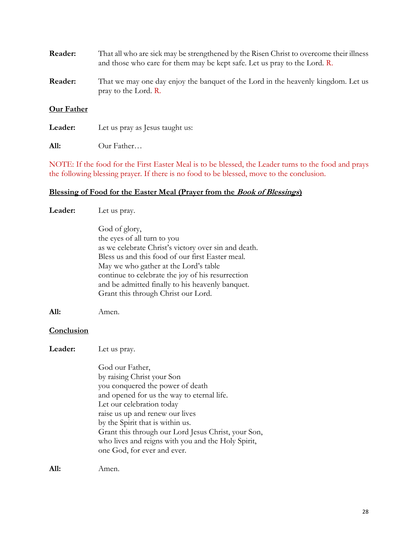| Reader:           | That all who are sick may be strengthened by the Risen Christ to overcome their illness<br>and those who care for them may be kept safe. Let us pray to the Lord. R. |
|-------------------|----------------------------------------------------------------------------------------------------------------------------------------------------------------------|
| Reader:           | That we may one day enjoy the banquet of the Lord in the heavenly kingdom. Let us<br>pray to the Lord. R.                                                            |
| <b>Our Father</b> |                                                                                                                                                                      |

| <b>Leader:</b> | Let us pray as Jesus taught us: |
|----------------|---------------------------------|
| A11:           | Our Father                      |

NOTE: If the food for the First Easter Meal is to be blessed, the Leader turns to the food and prays the following blessing prayer. If there is no food to be blessed, move to the conclusion.

### **Blessing of Food for the Easter Meal (Prayer from the Book of Blessings)**

| Leader:           | Let us pray.                                                                                                                                                                                                                                                                                                                                                                    |
|-------------------|---------------------------------------------------------------------------------------------------------------------------------------------------------------------------------------------------------------------------------------------------------------------------------------------------------------------------------------------------------------------------------|
|                   | God of glory,<br>the eyes of all turn to you<br>as we celebrate Christ's victory over sin and death.<br>Bless us and this food of our first Easter meal.<br>May we who gather at the Lord's table<br>continue to celebrate the joy of his resurrection<br>and be admitted finally to his heavenly banquet.<br>Grant this through Christ our Lord.                               |
| All:              | Amen.                                                                                                                                                                                                                                                                                                                                                                           |
| <b>Conclusion</b> |                                                                                                                                                                                                                                                                                                                                                                                 |
| Leader:           | Let us pray.                                                                                                                                                                                                                                                                                                                                                                    |
|                   | God our Father,<br>by raising Christ your Son<br>you conquered the power of death<br>and opened for us the way to eternal life.<br>Let our celebration today<br>raise us up and renew our lives<br>by the Spirit that is within us.<br>Grant this through our Lord Jesus Christ, your Son,<br>who lives and reigns with you and the Holy Spirit,<br>one God, for ever and ever. |
| All:              | Amen.                                                                                                                                                                                                                                                                                                                                                                           |